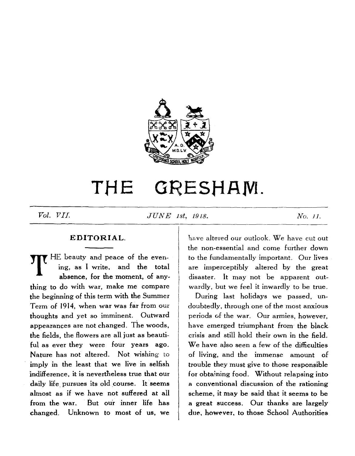

# THE GRESHAM.

*Vol. VII. JUNE 1st, 1918. No. 11.*

#### **EDITORIAL.**

THE beauty and peace of the even-<br>ing, as I write, and the total<br>absence, for the moment, of any ing, as I write, and the total absence, for the moment, of anything to do with war, make me compare the beginning of this term with the Summer Term of 1914, when war was far from our thoughts and yet so imminent. Outward appearances are not changed. The woods, the fields, the flowers are all just as beautiful as ever they were four years ago. Nature has not altered. Not wishing to imply in the least that we live in selfish indifference, it is nevertheless true that our daily life pursues its old course. It seems almost as if we have not suffered at all from the war. But our inner life has changed. Unknown to most of us, we

have altered our outlook. We have cut out the non-essential and come further down to the fundamentally important. Our lives are imperceptibly altered by the great disaster. It may not be apparent outwardly, but we feel it inwardly to be true.

During last holidays we passed, undoubtedly, through one of the most anxious periods of the war. Our armies, however, have emerged triumphant from the black crisis and still hold their own in the field. We have also seen a few of the difficulties of living, and the immense amount of trouble they must give to those responsible for obtaining food. Without relapsing into a conventional discussion of the rationing scheme, it may be said that it seems to be a great success. Our thanks are largely due, however, to those School Authorities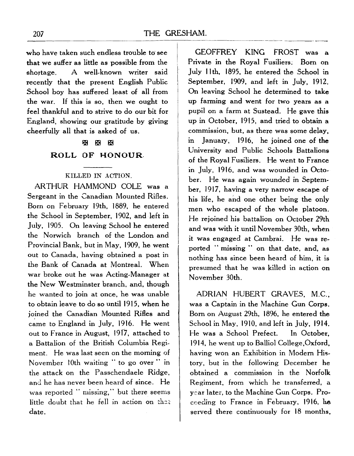•who have taken such endless trouble to' see that we suffer as little as possible from the shortage. A well-known writer said recently that the present English Public School boy has suffered least of all from the war. If this is so, then we ought to feel thankful and to strive to do our bit for England, showing our gratitude by giving cheerfully all that is asked of us.

# <B S S

#### ROLL OF HONOUR.

#### KILLED IN ACTION.

ARTHUR HAMMOND COLE was a Sergeant in the Canadian Mounted Rifles. Bom on February 19th, 1889, he entered the School in September, 1902, and left in July, 1905. On leaving School he entered the Norwich branch of the London and Provincial Bank, but in May, 1909, he went out to Canada, having obtained a post in the Bank of Canada at Montreal. When war broke out he was Acting-Manager at the New Westminster branch, and, though he wanted to join at once, he was unable to obtain leave to do so until 1915, when he joined the Canadian Mounted Rifles and came to England in July, 1916. He went out to France in August, 19T7, attached to a Battalion of the British Columbia Regiment. He was last seen on the morning of November 10th waiting "to go over " in the attack on the Passchendaele Ridge, and he has never been heard of since. He was reported " missing," but there seems little doubt that he fell in action on that date.

GEOFFREY KING FROST was a Private in the Royal Fusiliers; Born on July llth, 1895, he entered the School in September, 1909, and left in July, 1912. On leaving School he determined to take up farming and went for two years as a pupil on a farm at Sustead. He gave this up in October, 1915, and tried to obtain a commission, but, as there was some delay, in January, 1916, he joined one of the University and Public Schools Battalions of the Royal Fusiliers. He went to France in July, 1916, and was wounded in October. He was again wounded in September, 1917, having a very narrow escape of his life, he and one other being the only men who escaped of the whole platoon. He rejoined his battalion on October 29th and was with it until November 30th, when it was engaged at Cambrai. He was reported " missing " on that date, and, as nothing has since been heard of him, it is presumed that he was killed in action on November 30th.

ADRIAN HUBERT GRAVES, M.C., was a Captain in the Machine Gun Corps. Born on August 29th, 1896, he entered the School in May, 1910, and left in July, 1914. He was a School Prefect. In October, 1914, he went up to Balliol College.Oxford, having won an Exhibition in Modern History, but in the following December he obtained a commission in the Norfolk Regiment, from which he transferred, a year later, to the Machine Gun Corps. Proceeding to France in February, 1916, he served there continuously for 18 months,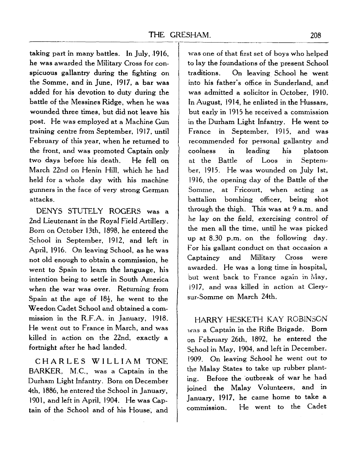taking part in many battles. In July, .1916, he was awarded the Military Cross for conspicuous gallantry during the fighting on the Somme, and in June, 1917, a bar was added for his devotion to duty during the battle of the Messines Ridge, when he was wounded three times, but did not leave his post. He was employed at a Machine Gun training centre from September, 1917, until February of this year, when he returned to the front, and was promoted Captain only two days before his death. He fell on March 22nd on Henin Hill, which he had held for a whole day with his machine gunners in the face of very strong German attacks.

DENYS STUTELY ROGERS was a 2nd Lieutenant in the Royal Field Artillery. Born on October 13th, 1898, he entered the School in September, 1912, and left in April, 1916. On leaving School, as he was not old enough to obtain a commission, he went to Spain to learn the language, his intention being to settle in South America when the war was over. Returning from Spain at the age of  $18\frac{1}{2}$ , he went to the Weedon Cadet School and obtained a commission in the R.F.A. in January, 1918. He went out to France in March, and was killed in action on the 22nd, exactly a fortnight after he had landed.

CHARLE S WILLIA M TONE BARKER, M.C., was a Captain in the Durham Light Infantry. Born on December 4th, 1886, he entered the School in January, 1901, and left in April, 1904. He was Captain of the School and of his House, and

was one of that first set of boys who helped to lay the foundations of the present School traditions. On leaving School he went into his father's office in Sunderland, and was admitted a solicitor in October, 1910. In August, 1914, he enlisted in the Hussars, but early in 1915 he received a commission in the Durham Light Infantry. He went to France in September, 1915, and was recommended for personal gallantry and coolness in leading his platoon at the Battle of Loos in September, 1915. He was wounded on July 1st, 1916, the opening day of the Battle of the Somme, at Fricourt, when acting as battalion bombing officer, being shot through the thigh. This was at 9 a.m. and he lay on the field, exercising control of the men all the time, until he was picked up at 8.30 p.m. on the following day. For his gallant conduct on that occasion a Captaincy and Military Cross were awarded. He was a long time in hospital, but went back to France again in May, 1917, and was killed in action at Clery~ sur-Somme on March 24th.

HARRY HESKETH KAY ROBINSON was a Captain in the Rifle Brigade. Bom on February 26th, 1892, he entered the School in May, 1904, and left in December. 1909. On leaving School he went out to the Malay States to take up rubber planting. Before the outbreak of war he had joined the Malay Volunteers, and in January, 1917, he came home to take a commission. He went to the Cadet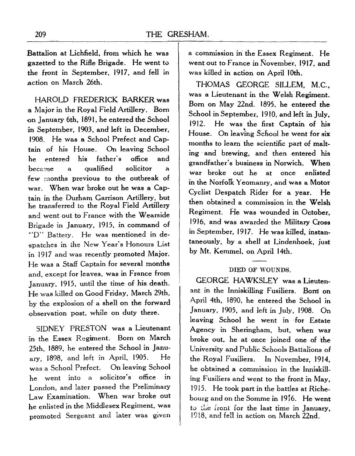Battalion at Lichfield, from which he was gazetted to the Rifle Brigade. He went to the front in September, 1917, and fell in action on March 26th.

HAROLD FREDERICK BARKER was a Major in the Royal Field Artillery. Born on January 6th, 1891, he entered the School in September, 1903, and left in December, 1908. He was a School Prefect and Captain of his House. On leaving School he entered his father's office and became a qualified solicitor a few months previous to the outbreak of war. When war broke out he was a Captain in the Durham Garrison Artillery, but he transferred to the Royal Field Artillery and went out to France with the Wearside Brigade in January, 1915, in command of "D" Battery. He was mentioned in despatches in the New Year's Honours List in 1917 and was recently promoted Major. He was a Staff Captain for several months and, except for leaves, was in France from January, 1915, until the time of his death. He was killed on Good Friday, March 29th, by the explosion of a shell on the forward observation post, while on duty there.

SIDNEY PRESTON was a Lieutenant in the Essex Regiment. Born on March 25th, 1889, he entered the School in January, 1898, and left in April, 1905. He was a School Prefect. On leaving School he went into a solicitor's office in London, and later passed the Preliminary Law Examination. When war broke out he enlisted in the Middlesex Regiment, was promoted Sergeant and later was given

a commission in the Essex Regiment. He went out to France in November, 1917, and was killed in action on April 10th.

THOMAS GEORGE SILLEM, M.C., was a Lieutenant in the Welsh Regiment. Born on May 22nd. 1895. he entered the School in September, 1910, and left in July, 1912. He was the first Captain of his House. On leaving School he went for six months to learn the scientific part of malting and brewing, and then entered his grandfather's business in Norwich. When war broke out he at once enlisted in the Norfolk Yeomanry, and was a Motor Cyclist Despatch Rider for a year. He then obtained a commission in the Welsh Regiment. He was wounded in October, 1916, and was awarded the Military Cross in September, 1917. He was killed, instantaneously, by a shell at Lindenhoek, just by Mt. Kemmel, on April 14th.

#### DIED OF WOUNDS.

GEORGE HAWKSLEY was a Lieutenant in the Inniskilling Fusiliers. Borri on April 4th, 1890, he entered the School in January, 1905, and left in July, 1908. On leaving School he went in for Estate Agency in Sheringham, but, when war broke out, he at once joined one of the University and Public Schools Battalions of the Royal Fusiliers. In November, 1914, he obtained a commission in the Inniskilling Fusiliers and went to the front in May, 1915. He took part in the battles at Richebourg and on the Somme in 1916. He went to the front for the last time in January, 1918, and fell in action on March 22nd.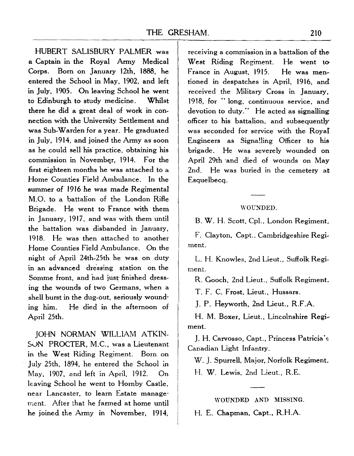HUBERT SALISBURY PALMER was a Captain in the Royal Army Medical Corps. Born on January 12th, 1888, he entered the School in May, 1902, and left in July, 1905. On leaving School he went to Edinburgh to study medicine. Whilst there he did a great deal of work in connection with the University Settlement and •was Sub-Warden for a year. He graduated in July, 1914, and joined the Army as soon as he could sell his practice, obtaining his commission in November, 1914. For the first eighteen months he was attached to a Home Counties Field Ambulance. In the summer of 1916 he was made Regimental M.O. to a battalion of the London Rifle Brigade. He went to France with them in January, 1917, and was with them until the battalion was disbanded in January, 1918. He was then attached to another Home Counties Field Ambulance. On the night of April 24th-25th he was on duty in an advanced dressing station on the Somme front, and had just finished dressing the wounds of two Germans, when a shell burst in the dug-out, seriously wounding him. He died in the afternoon of April 25th.

JOHN NORMAN WILLIAM ATKIN-SON PROCTER, M.C., was a Lieutenant in the West Riding Regiment. Born on July 25th, 1894, he entered the School in May, 1907, and left in April, 1912. On leaving School he went to Hornby Castle, near Lancaster, to learn Estate management. After that he farmed at home until he joined the Army in November, 1914, receiving a commission in a battalion of the West Riding Regiment. He went to-France in August, 1915. He was mentioned in despatches in April, 1916, and received the Military Cross in January, 1918, for " long, continuous service, and devotion to duty." He acted as signalling: officer to his battalion, and subsequently" was seconded for service with the Royal Engineers as Signalling Officer to his brigade. He was severely wounded on April 29th 'and died of wounds on May 2nd. He was buried in the cemetery at Esquelbecq.

#### WOUNDED.

B. W. H. Scott, Cpl., London Regiment,

F. Clayton, Capt., Cambridgeshire Regiment.

L. H. Knowles, 2nd Lieut., Suffolk Regiment.

R. Gooch, 2nd Lieut., Suffolk Regiment,

T. F, C. Frost, Lieut., Hussars.

J. P. Heyworth, 2nd Lieut., R.F.A.

H. M. Boxer, Lieut., Lincolnshire Regiment.

J. H. Carvosso, Capt., Princess Patricia's Canadian Light Infantry.

W. J. Spurrell, Major, Norfolk Regiment,

H. W. Lewis, 2nd Lieut., R.E.

WOUNDED AND MISSING.

H. E. Chapman, Capt., R.H.A.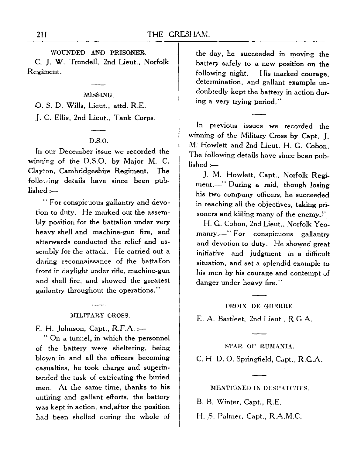#### WOUNDED AND PRISONER.

C. J. W. Trendell, 2nd Lieut., Norfolk Regiment.

#### MISSING.

O. S. D. Wills, Lieut., attd. R.E.

J. C. Ellis, 2nd Lieut., Tank Corps.

#### D.S.O.

In our December issue we recorded the winning of the D.S.O. by Major M. C. Clayton, Cambridgeshire Regiment. The following details have since been published :—

" For conspicuous gallantry and devotion to duty. He marked out the assembly position for the battalion under very heavy shell and machine-gun fire, and afterwards conducted the relief and assembly for the attack. He carried out a daring reconnaissance of the battalion front in daylight under rifle, machine-gun and shell fire, and showed the greatest gallantry throughout the operations."

#### MILITARY CROSS.

E. H. Johnson, Capt., R.F.A. :—

" On a tunnel, in which the personnel of the battery were sheltering, being blown-in and all the officers becoming casualties, he took charge and superintended the task of extricating the buried men. At the same time, thanks to his untiring and gallant efforts, the battery was kept in action, and,after the position had been shelled during the whole of

the day, he succeeded in moving the battery safely to a new position on the following night. His marked courage determination, and gallant example undoubtedly kept the battery in action during a very trying period."

In previous issues we recorded the winning of the Military Cross by Capt. J. M. Hewlett and 2nd Lieut. H. G. Cobon. The following details have since been published :—

J. M. Hewlett, Capt., Norfolk Regiment.—" During a raid, though losing his two company officers, he succeeded in reaching all the objectives, taking prisoners and killing many of the enemy,"

H. G. Cobon, 2nd Lieut., Norfolk Yeomanry.—" For conspicuous gallantry and devotion to duty. He showed great initiative and judgment in a difficult situation, and set a splendid example to his men by his courage and contempt of danger under heavy fire."

#### CROIX DE GUERRE.

E. A. Bartleet, 2nd Lieut., R.G.A.

STAR OF RUMANIA. C. H. D. O. Springfield, Capt., R.G.A.

MENTIONED IN DESPATCHES.

B. B. Winter, Capt., R.E.

H. S. Palmer, Capt., R.A.M.C.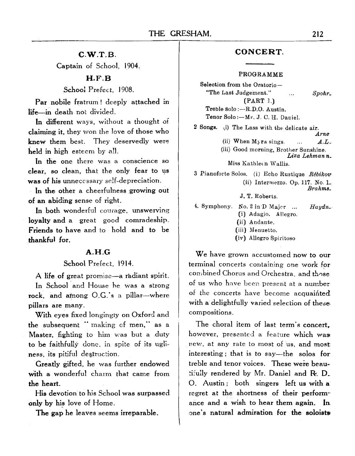#### **C.W.T.B.**

Captain of School, 1904.

# **H.F.B**

School Prefect, 1908.

Par nobile fratrum ! deeply attached in life—in death not divided.

In different ways, without a thought of claiming it, they won the love of those who knew them best. They deservedly were held in high esteem by all.

In the one there was a conscience so clear, so clean, that the only fear to us was of his unnecessary self-depreciation.

In the other a cheerfulness growing out of an abiding sense of right.

In both wonderful courage, unswerving loyalty and a great good comradeship. Friends to have and to hold and to be thankful for.

#### **A.H.G**

#### School Prefect, 1914.

A life of great promise—a radiant spirit.

In School and House he was a strong rock, and atnong O.G.'s a pillar—where pillars are many.

With eyes fixed longingly on Oxford and the subsequent " making of men," as a Master, fighting to him was but a duty to be faithfully done, in spite of its ugliness, its pitiful destruction.

Greatly gifted, he was further endowed with a wonderful charm that came from the heart.

His devotion to his School was surpassed only by his love of Home.

The gap he leaves seems irreparable.

# **CONCERT.**

#### PROGRAMME

Selection from the Oratorio — "The Last Judgement."  $\mathcal{L}$ *Spohr,* (PART ].)

Treble Solo :—R.D.O. Austin. Tenor Solo:—Mr. J. C. H. Daniel.

2 Songs. (i) The Lass with the delicate air. *Arne*

(ii) When  $M_{\text{Yra} }$  sings. ...  $A.L.$ 

(iii) Good morning, Brother Sunshine. *Liza Lehman n.*

Miss Kathleen Wallis.

3 Pianoforte Solos. (i) Echo Rustique Rébikov (ii) Intermezzo. Op. 117. No. *\, Brahms.*

J. T. Roberts.

4. Symphony. No.  $2 \text{ in } D$  Major ...  $Haydn$ . (i) Adagio. Allegro.

(ii) Andante.

(iii) Menuetto.

(iv) Allegro Spiritoso

We have grown accustomed now to our terminal concerts containing one work for combined Chorus and Orchestra, and those of us who have been present at a number of the concerts have become acquainted with a delightfully varied selection of these. compositions.

The choral item of last term's concert, however, presented a feature which was new, at any rate to most of us, and most interesting ; that is to say—the solos for treble and tenor voices. These were beautifully rendered by Mr. Daniel and R. D. O. Austin; both singers left us with a regret at the shortness of their performance and a wish to hear them again. In one's natural admiration for the soloists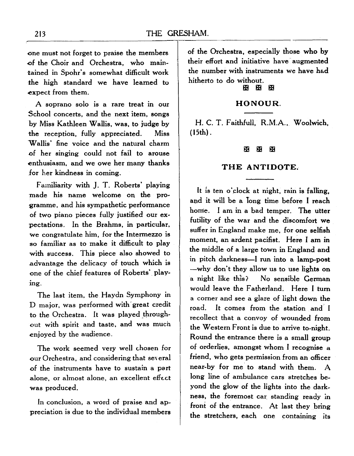•one must not forget to praise the members •of the Choir and Orchestra, who maintained in Spohr's somewhat difficult work the high standard we have learned to expect from them.

A soprano solo is a rare treat in our School concerts, and the next item, songs by Miss Kathleen Wallis, was, to judge by the reception, fully appreciated. Miss Wallis' fine voice and the natural charm of her singing could not fail to arouse enthusiasm, and we owe her many thanks for her kindness in coming.

Familiarity with J. T. Roberts' playing made his name welcome on the programme, and his sympathetic performance of two piano pieces fully justified our expectations. In the Brahms, in particular, we congratulate him, for the Intermezzo is so familiar as to make it difficult to play with success. This piece also showed to advantage the delicacy of touch which is one of the chief features of Roberts' playing.

The last item, the Haydn Symphony in D major, was performed with great credit to the Orchestra. It was played throughout with spirit and taste, and was much enjoyed by the audience.

The work seemed very well chosen for our Orchestra, and considering that several of the instruments have to sustain a part alone, or almost alone, an excellent effect -was produced.

In conclusion, a word of praise and appreciation is due to the individual members of the Orchestra, especially those who by their effort and initiative have augmented the number with instruments we have had hitherto to do without.

# *H on* rig ED ED

#### **HONOUR.**

H. C. T. Faithfull, R.M.A., Woolwich, (15th).

#### ж **H** H

# **THE ANTIDOTE.**

It is ten o'clock at night, rain is falling, and it will be a long time before I reach home. I am in a bad temper. The utter futility of the war and the discomfort we suffer in England make me, for one selfish moment, an ardent pacifist. Here I am in the middle of a large town in England and in pitch darkness—I run into a lamp-post —why don't they allow us to use lights on a night like this? No sensible German would leave the Fatherland. Here I turn a corner and see a glare of light down the road. It comes from the station and I recollect that a convoy of wounded from the Western Front is due to arrive to-night. Round the entrance there is a small group of orderlies, amongst whom I recognise a friend, who gets permission from an officer near-by for me to stand with them. A long line of ambulance cars stretches beyond the glow of the lights into the darkness, the foremost car. standing ready in front of the entrance. At last they bring the stretchers, each one containing its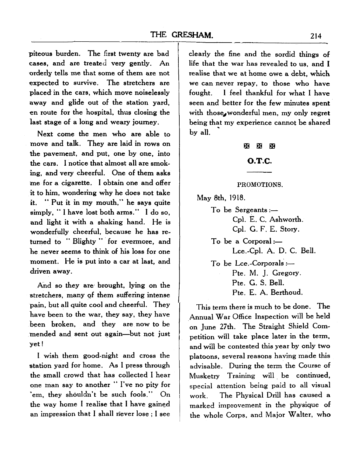piteous burden. The first twenty are bad cases, and are treated very gently. An orderly tells me that some of them are not expected to survive. The stretchers are placed in the cars, which move noiselessly away and glide out of the station yard, en route for the hospital, thus closing the last stage of a long and weary journey.

Next come the men who are able to move and talk. They are laid in rows on the pavement, and put, one by one, into the cars. I notice that almost all are smoking, and very cheerful. One of them asks me for a cigarette. I obtain one and offer it to him, wondering why he does not take it. " Put it in my mouth," he says quite simply, " I have lost both arms." I do so, and light it with a shaking hand. He is wonderfully cheerful, because he has returned to " Blighty " for evermore, and he never seems to think of his loss for one moment. He is put into a car at last, and driven away.

And so they are brought, lying on the stretchers, many *gf* them suffering intense pain, but all quite cool and cheerful. They have been to the war, they say, they have been broken, and they are now to be mended and sent out again—but not just yet!

I wish them good-night and cross the station yard for home. As I press through the small crowd that has collected I hear one man say to another " I've no pity for 'em, they shouldn't be such fools." On the way home I realise that I have gained an impression that I shall never lose ; I see

clearly the fine and the sordid things of life that the war has revealed to us, and I realise that we at home owe a debt, which we can never repay, to those who have fought. I feel thankful for what I have seen and better for the few minutes spent with those, wonderful men, my only regret being that my experience cannot be shared by all.

#### $\mathbf x \mathbf x$

#### O.T.C.

#### PROMOTIONS.

May 8th, 1918.

To be Sergeants :— Cpl. E. C. Ashworth. Cpl. G. F. E. Story. To be a Corporal:—

Lce.-Cpl. A. D. C. Bell. To be Lee.-Corporals :—

Pte. M. J. Gregory.

Pte. G. S. Bell.

Pte. E. A. Berthoud.

This term there is much to be done. The Annual War Office Inspection will be held on June 27th. The Straight Shield Competition will take place later in the term, and will be contested this year by only two platoons, several reasons having made this advisable. During the term the Course of Musketry Training will be continued, special attention being paid to all visual work. The Physical Drill has caused a marked improvement in the physique of the whole Corps, and Major Walter, who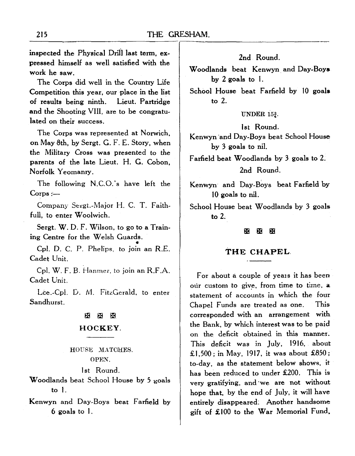inspected the Physical Drill last term, expressed himself as well satisfied with the work he saw.

The Corps did well in the Country Life Competition this year, our place in the list of results being ninth. Lieut. Partridge and the Shooting VIII, are to be congratulated on their success.

The Corps was represented at Norwich, on May 8th, by Sergt. G. F. E. Story, when the Military Cross was presented to the parents of the late Lieut. H. G. Cobon, Norfolk Yeomanry.

The following N.C.O.'s have left the Corps :—

Company Sergt.-Major H. C. T. Faithfull, to enter Woolwich.

Sergt. W. D. F. Wilson, to go to a Training Centre for the Welsh Guards.

Cpl. D. C. P. Phelips, to join an R.E. Cadet Unit.

Cpl. W. F. B. Hanmer, to join an R.F.A. Cadet Unit.

Lee.-Cpl. D. M. FitzGerald, to enter Sandhurst.

# $\times$   $\times$ **HOCKEY.**

HOUSU MATCHES. OPEN.

1st Round.

Woodlands beat School House by 5 goals to 1.

Kenwyn and Day-Boys beat Farfield by 6 goals to 1.

2nd Round.

Woodlands beat Kenwyn and Day-Boys by 2 goals to 1.

School House beat Farfield by 10 goals to 2.

UNDER 15<sup>3</sup>.

1st Round.

Kenwyn 'and Day-Boys beat School House by 3 goals to nil.

Farfield beat Woodlands by 3 goals to 2. 2nd Round.

Kenwyn and Day-Boys beat Farfield by 10 goals to nil.

School House beat Woodlands by 3 goals to 2.

#### $F$ f $F$

#### **THE CHAPEL**

For about a couple of yeais it has been our custom to give, from time to time, a statement of accounts in which the four Chapel Funds are treated as one. This corresponded with an arrangement with the Bank, by which interest was to be paid on the deficit obtained in this manner. This deficit was in July, 1916, about £1,500; in May, 1917, it was about £850; to-day, as the statement below shows, it has been reduced to under £200. This is very gratifying, and we are not without hope that, by the end of July, it will have entirely disappeared; Another handsome gift of £100 to the War Memorial Fund,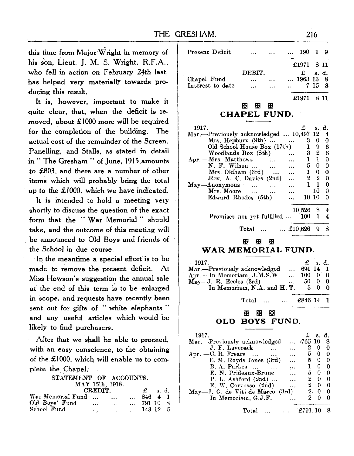**this time from Major Wright in memory of his son, Lieut. J. M. S. Wright, R.F.A., -who fell in action on February 24th last, has helped very materially towards producing this result.**

**It is, however, important to make it quite clear, that, when the deficit is removed, about £1000 more will be required for the completion of the building. The actual cost of the remainder of the Screen. Panelling, and Stalls, as stated in detail in " The Gresham " of June, 1915,amounts to £803, and there are a number of other items which will probably bring the total up to the £1000, which we have indicated.**

**It is intended to hold a meeting very shortly to discuss the question of the exact form that the " War Memorial " should take, and the outcome of this meeting will be announced to Old Boys and friends of the School in due course.**

**•In the meantime a special effort is to be made to remove the present deficit. At Miss Howson's suggestion the annual sale at the end of this term is to be enlarged in scope, and requests have recently been sent out for gifts of " white elephants and any useful articles which would be likely to find purchasers.**

**After that we shall be able to proceed, with an easy conscience, to the obtaining of the £1000, which will enable us to complete the Chapel.**

| STATEMENT OF ACCOUNTS.        |                   |       |  |
|-------------------------------|-------------------|-------|--|
| MAY 15th, 1918.               |                   |       |  |
| <b>CREDIT.</b>                | ₽.                | s. d. |  |
| War Memorial Fund<br>$\cdots$ | 846 4 1           |       |  |
| Old Boys' Fund<br>$\cdots$    | $\ldots$ 791 10 8 |       |  |

143 12 5

School Fund

| Present Deficit  |        | $\cdots$ | 190 1 9    |        |      |
|------------------|--------|----------|------------|--------|------|
|                  |        |          | £1971 8 11 |        |      |
|                  | DEBIT. |          | £ $s. d.$  |        |      |
| Chapel Fund      |        |          | 1963 13 8  |        |      |
| Interest to date |        |          |            | 7 15 3 |      |
|                  |        |          | £1971      |        | - 11 |

#### ffl ffl ffl **CHAPEL FUND.**

| 1917.<br>Mar.—Previously acknowledged  10,497 12         |               |    | s. d.<br>4 |
|----------------------------------------------------------|---------------|----|------------|
| Mrs. Heplburn (9th)                                      | 3             | 0  | 0          |
| Old School House Box (17th)                              | ı             | 9  | 6          |
| Woodlands Box (8th)                                      | 3             | 2  | 6          |
| Apr. - Mrs. Matthews<br>                                 | ı             | 1  | 0          |
| N. F. Wilson<br>$\sim$                                   | 5.            | 0  | 0          |
| Mrs. Oldham (3rd)<br>                                    | $\mathbf{1}$  | 0  | 0          |
| Rev. A. C. Davies (2nd)<br>                              | $\mathbf{2}$  | 2  | 0          |
| $\mathbf{May}\rightarrow \mathbf{Anonymous}$<br>$\cdots$ | 1             | 1  | 0          |
| Mrs. Moore<br>$\ddotsc$                                  |               | 10 | 0          |
| Edward Rhodes (5th)                                      | $10 \; 10$    |    | 0          |
|                                                          | 10,526        | 8  | 4          |
| Promises not yet fulfilled                               | 100           | 1  | 4          |
| Total                                                    | $ \; £10,626$ | 9  | 8          |

#### H yn m n3 m WAR MEMORIAL FIIND.

| $-1917.$                               |  |  | £ s.d. |  |
|----------------------------------------|--|--|--------|--|
| Mar.—Previously acknowledged  691 14 1 |  |  |        |  |

| Total   £846 14 1                     |                  |                |  |
|---------------------------------------|------------------|----------------|--|
| In Memoriam, N.A. and H.T. $5\quad 0$ |                  | $\overline{0}$ |  |
| May --J. R. Eccles $(3rd)$ 50 0       |                  | - 0            |  |
| Apr. - In Memoriam, J.M.S.W.          | $\ldots$ 100 0 0 |                |  |
| $max. -1$ reviously additionally      | $\cdots$ VV-17 1 |                |  |

#### **H3 CJ2 OQ OLD BOYS FUND.**

| .1917.                                           | £                | s. d.               |          |
|--------------------------------------------------|------------------|---------------------|----------|
| Mar.-Previously acknowledged                     | $\ldots$ -765 10 |                     | 8        |
| J. F. Laverack<br>$\sim$                         | $\boldsymbol{2}$ | $\Omega$            | 0        |
| Apr. $-C. R. Frears \dots$<br>$\cdots$<br>$\sim$ | 5.               | 0                   | 0        |
| E. M. Royds Jones (3rd)<br>$\cdots$              | 5.               | 0                   | -0       |
| <b>B. A. Parkes</b><br>$\ddots$                  |                  | 0                   | $\bf{0}$ |
| E. N. Prideaux-Brune<br>i i i                    |                  | 50                  | - 0      |
| P. L. Ashford $(2nd)$<br>                        |                  | $2 \quad 0$         | $\Omega$ |
| E. W. Carvosso (2nd)<br>$\ddotsc$                | $^{2}$           | $\bf{0}$            | - 0      |
| May-J. G. de Viti de Marco (3rd)                 |                  | $2 \quad 0 \quad 0$ |          |
| In Memoriam, G.J.F.                              | 2.               | 0                   | ∩        |
| Total<br>$\ldots$                                | $\pm 791$ 10     |                     |          |
|                                                  |                  |                     |          |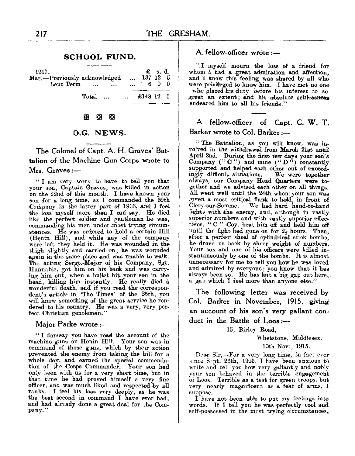#### **SCHOOL FUND.**

£ s. d.  $137, 12, 5$ 1917.<br>Mar.—Previously acknowledged<br>Lent Term ... ... . . . Lent Term 6 0 0 Total ... £143 12 5

 $\sim$ 

#### H yo no O3 Q3

#### O.G. NEWS.

The Colonel of Capt. A. H. Graves' Battalion of the Machine Gun Corps wrote to Mrs. Graves :—

" I am very sorry to have to tell you that your son, Captain Graves, was killed in action on the 22nd of this month. I have known your son 'for a long time, as I commanded the 69th Company in the latter part of 1916, and I feel the loss myself more than I can say. He died like the perfect soldier and gentleman he was, commanding his men under most trying circum-<br>stances. He was ordered to hold a certain Hill (Henin Hill), and while any of the company were left they held it. He was wounded in the thigh slightly and carried on; he was wounded again in the same place and was unable to walk. The acting Sergt.-Major of his Company, Sgt.<br>Hunnable, got him on his back and was carry-<br>ing him out, when a bullet hit your son in the<br>head, killing him instantly. He really died a<br>wonderful death, and if you read the co

#### **Major Parke wrote :—**

"I daresay you have read the account of the machine guns on Henin Hill. Your son was in command of those guns, which by their action prevented the eneny from taking the hill for a whole day, and earned the special commenda only been with us for a very short time, but in that time he had proved himself a very fine officer, and was much liked and respected by all ranks. I feel his loss very deeply, as he was the best second in command I have ever had, and had already done a great deal for the Com- pany."

#### A. fellow-officer wrote :—

"I myself mourn the loss of a friend for whom I had a great admiration and affection, and I know this feeling was shared by all who were privileged to know him. I have met no one who placed his duty before his interest to

# A fellow-officer of Capt. C. W. T. Barker wrote to Col. Barker :—

" The Battalion, as you will know, was in- volved in the withdrawal from March 21st until April 2nd. During the first tew days your son's Company (" C'') and mine (" D") constantly supported and helped each other out of exceed-<br>ingly difficult situations. We were together<br>always, our Company Head Quarters were to-<br>gether and we advised each other on all things.<br>All went well until the 24th when your Clery-sur-Somme. We had hard hand-to-hand fights with the enemy, and, although in vastly tives, "C" Coy. beat him off and held him off until the fight had gone on for  $2\frac{1}{2}$  hours. Then, after a perfect shoal of cylindrical stick bombs,<br>he drove us back by sheer weight of numbers.<br>Your son and one of his officers were killed in-<br>stantaneously by one of the bombs. It is almost<br>unnecessary for me to tell you

The following letter was received by Col. Barker in November, 1915, giving an account of his son's very gallant conduct in the Battle of Loos:—

15, Birley Road,

Whetstone, Middlesex.

10th Nov., 1915.

Bear Sir,—For a very long time, in fact ever since Srpt. 26th, 1915, I have been anxious to write and tell you how very gallantly and nobly your son behaved in the terrible engagement of iLoos. Terrible as a test for green troops, but very nearly magnificent as a feat of arms, I

suppose.<br>I have not been able to put my feelings into<br>words. If I tell you he was perfectly cool and self-possessed in the mcst trying circumstances,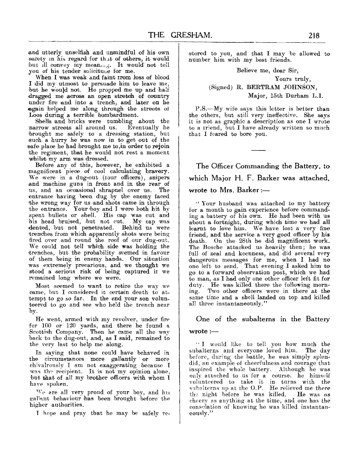and utterly unselfish and unmindful of his own safety in his regard for that of others, it would but ill convey my meaiuii.^. It would' not tell

When I was weak and faint trom loss of blood I did my utmost to persuade him to leave me, but he would not. He propped me up and half dragged me across an open stretch of country under fire and into a trench, and later on he again helped me along through the streets of Loos during a terrible bombardment.

Shells and bricks were tumbling about the narrow streets all around us. Eventually he brought me safely to a dressing station, but such a hurry he was now in, to get out of the safe place he had brought me to, in order to rejoin the regiment, that he would not rest a moment whilst my arm was dressed.

Before any of this, however, he exhibited a magnificent piece of cool calculating bravery. We were in a dug-out (tour officers), snipers and machine guns in front and in the rear of us, and an occasional shrapnel over us. The entrance having been dug by the enemy faced the wrong way for us and shots came in through the entrance. Your boy and I were both hit by spent bullets or shell. His cap was cut and his head bruised, hut not cut. My cap was dented, hut not penetrated. Behind us were trenches from which apparently shots were being fired over and round the roof of our dug-out. We could not tell which side was holding the itrenches, but the probability seemed in favour of them heing in enemy hands. Our situation was extremely precarious, and we thought we stood a serious . risk of being captured it we remained long where we were.

Most seemed to want to retire the way we came, but I considered it certain death to attempt to go so far. In the end your son volun-<br>teered to go and see who held the trench near  $b\mathbf{v}$ .

He went, armed with my revolver, under fire for 100 or 120 yards, and there he found a back to the dug-out, and, as I said, remained to the very last to help me along.

In saying that none could have behaved in the circumstances more gallantly or more chivalrously I am not exaggerating because I was the recipient. It is not my opinion alone, but that of all my brother officers with whom I have spoken.

 $W_{\rm P}$  are all very proud of your boy, and his eal'mnt behaviour has been brought before the higher authorities.

T hope and pray that he may be safely re-

stored to you, and that I may be allowed to number him with my best friends.

> Believe me, dear Sir, Yours truly, (Signed) B. BERTRAM JOHNSON, Major, 15th Durham L.I.

P.S.—My wife says this letter is better than the others, but still very ineffective. She says it is not as graphic a description as one I wrote to a triend, but I have already written so much that I feared to bore you.

**The Officer Commanding the Battery, to which Major H. F. Barker was attached, wrote to Mrs. Barker :—**

" Your husband was attached to my battery for a month to gain experience before command- ing a battery of his own. He had been with us about a fortnight, during which time we had all learnt to love him. We have lost a very fine friend, and the service a very good officer by his death. On the 28th he did magnificent work. The Bosche attacked us heavily then; he was full of zeal and keenness, and did several very dangerous messages for me, when I had no one left to send. That evening I asked him to go to a forward observation post, which we had duty. He was killed there the following morning. Two other officers were in there at the same time and a shell landed on top and killed all three instantaneously."

**One of the subalterns in the Battery wrote :—**

# " I would like to tell you how much the subalterns and everyone loved him. The day before, during the battle, he was simply splen-<br>did, an example of cheerfulness and courage that inspired the whole battery. Although he was only attached to us for a course, he himself volunteered to take it in turns with the subalterns up at the O.P. He relieved me there th? night before he was killed. He was as cheery as anything at the time, and one has the consolation of knowing he was killed instantan- eously."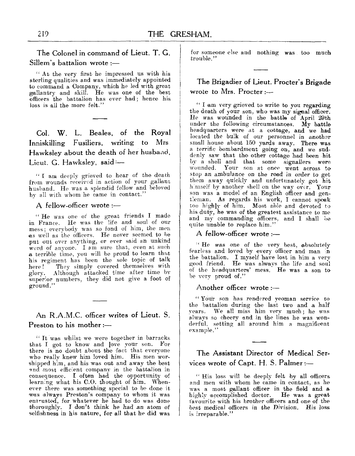**The Colonel in command of Lieut. T. G. Sillem's battalion wrote :—**

" At the very first he impressed us with his sterling qualities and was immediately appointed to command a Company, which he led with great gallantry and skill. He was one of the best officers the battalion has ever had; hence his loss is all the more felt.'

**Col. W. L. Beales, of the Royal Inniskilling Fusiliers, writing to Mrs Hawksley about the death of her husband, Lieut. G. Hawksley, said:—**

" I am deeply grieved to hear of the death from wounds received in action of your gallant husband. He was a splendid fellow and beloved by all with whom he came in contact."

**A fellow-officer wrote :—**

" He was one of the great friends I made in France. He was the life and soul of our me&s; everybody was so fond of him, the *men* mess; everybody was so fond of him, the men as well as the officers. He never seemed to be put out over anything, or ever said an unkind word of anyone." *I* am sure that, even at such a terrible time, you will be proud to Learn thnt his regiment has been the sole topic of talk<br>here! They simply covered themselves with They simply covered themselves with glory. Although attacked time after time by superior numbers, they did not give a foot of ground."

# **An R.A.M.C. officer writes of Lieut. S. Preston to his mother :—**

" It was whilst we were together in barracks that I got to know and love your son. For there is no doubt about the fact that everyone who really knew him loved him. His men worshipped him, and his was out and away the best and most efficient company in the battalion in consequence. I often had the opportunity of learning what his O.O. thought of him. When- ever there was something special to be done it •was always Preston's company to whom it was entrusted, for whatever he had to do was done thoroughly. I don't think he had an atom of selfishness in his nature, for all that he did was

for someone else and nothing was too much trouble."

**The Brigadier of Lieut. Procter's Brigade wrote to Mrs. Procter:—**

'' I am very grieved to write to you regarding, the death of your son, who was my signal officer. He was wounded in the battle of April 29th under the following circumstances. My battle headquarters were at a cottage, and we had located the bulk of our personnel in another small house about 150 yards away. There was a terrific bombardment going on, and we sud- denly saw that the other cottage had been hit by a shell and that some signallers were wounded. Your son at once went across to<br>stop an ambulance on the road in order to get them away quickly and unfortunately got hit himself by another shell on the way over. Your son was a model of an English officer and gen-tleman. As regards his work, I cannot speak too highly of him. Most able and devoted to his duty, he was of the greatest assistance to me and my commanding officers, and I shall be quite unable to replace him."

**A fellow-officer wrote :—**

<sup>"</sup> He was one of the very best, absolutely fearless and loved by every officer and man  $\infty$  the battalion. I myself have lost in him a very good friend. He was always the life and soul of the headquarters' mess. He was a son to be very proud of."

**Another officer wrote :—**

"Your son has rendered yeoman service to the battalion during the last two and a half years. We all miss him very much; he was always .so cheery and in the lines he was won- derful, setting all around him a magnificent example."

# **The Assistant Director of Medical Services wrote of Capt. H. S. Palmer:—**

" His loss will be deeply felt hy all officers, and men with whom he came in contact, as he was a most gallant officer in the field and a<br>highly accomplished doctor. He was a great highly accomplished doctor. favourite with his brother officers and one of the best medical officers in the Division. His loss is irreparable."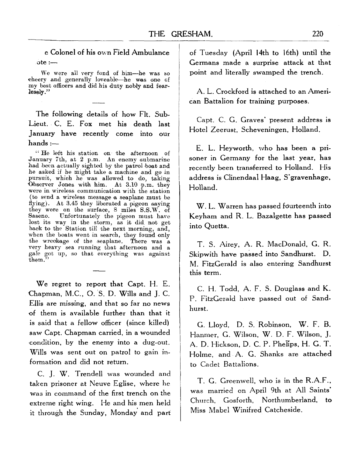e Colonel of his own Field Ambulance ote :—

We were all very fond of him—he was so cheery and generally loveable—he was one of my best officers and did his duty nobly and fear-lessly."

The following details of how Fit. Sub-Lieut. C. E. Fox met his death last January have recently come into our hands :—

" He left his station on the afternoon of January 7th, at 2 p.m. An enemy submarine had been actually sighted by the patrol boat and he asked if he might take a machine and go in pursuit, whioh he was allowed to do, taking were in wireless communication with the station (to send a wireless message a seaplane must be flying). At 3.45 they liberated a pigeon saying they were on the surface, 8 miles S.S.W. of lost its way in the storm, as it did not get back to the Station till the next morning, and, back to the Station till the next morning, and,<br>when the boats went in search, they found only<br>the wreckage of the seaplane. There was a<br>very heavy sea running that afternoon and a<br>gale got up, so that everything was again them."

We regret to report that Capt. H. E. Chapman, M.C., O. S. D. Wills and J. C. Ellis are missing, and that so far no news of them is available further than that it is said that a fellow officer (since killed) saw Capt. Chapman carried, in a wounded condition, by the enemy into a dug-out. Wills was sent out on patrol to gain information and did not return.

C. J. W. Trendell was wounded and taken prisoner at Neuve Eglise, where he was in command of the first trench on the extreme right wing. He and his men held it through the Sunday, Monday and parf of Tuesday (April 14th to 16th) until the Germans made a surprise attack at that point and literally swamped the trench.

A. L. Crockford is attached to an American Battalion for training purposes.

Capt. C. G. Graves' present address is Hotel Zeerust, Scheveningen, Holland.

E. L. Hey worth, who has been a prisoner in Germany for the last year, has recently been transferred to Holland. His address is Clinendaal Haag, S'gravenhage, Holland.

W. L. Warren has passed fourteenth into Keyham and R. L. Bazalgette has passed into Quetta.

T. S. Airey, A. R. MacDonald, G. R. Skipwith have passed into Sandhurst. D. M. FitzGerald is also entering Sandhurst this term.

C. H. Todd, A. F. S. Douglass and K. P. FitzGerald have passed out of Sandhurst.

G. Lloyd, D. S. Robinson, W. F. B. Hanmer, G. Wilson, W. D. F. Wilson, J. A. D. Hickson, D. C. P. Phelips, H. G. T. Holme, and A. G. Shanks are attached to Cadet Battalions.

T. G. Greenwell, who is in the R.A.F., was married on April 9th at All Saints' Church, Gosforth, Northumberland, to Miss Mabel Winifred Catcheside.